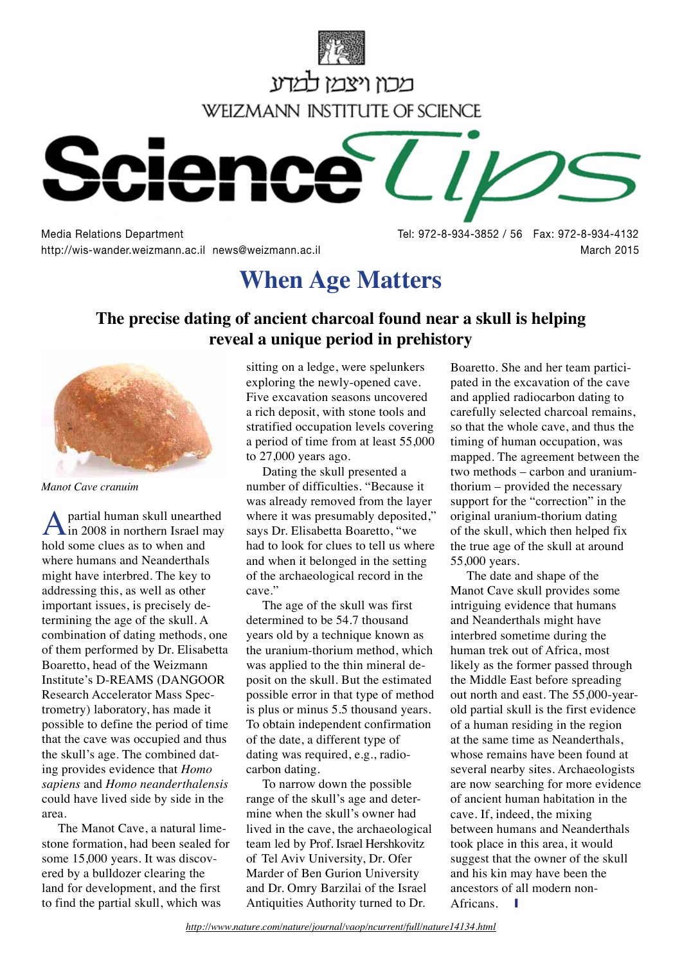



Media Relations Department Tel: 972-8-934-3852 / 56 Fax: 972-8-934-4132 http://wis-wander.weizmann.ac.il news@weizmann.ac.il **March 2015** March 2015

# **When Age Matters**

#### **The precise dating of ancient charcoal found near a skull is helping reveal a unique period in prehistory**



*Manot Cave cranuim*

partial human skull unearthed in 2008 in northern Israel may hold some clues as to when and where humans and Neanderthals might have interbred. The key to addressing this, as well as other important issues, is precisely determining the age of the skull. A combination of dating methods, one of them performed by Dr. Elisabetta Boaretto, head of the Weizmann Institute's D-REAMS (DANGOOR Research Accelerator Mass Spectrometry) laboratory, has made it possible to define the period of time that the cave was occupied and thus the skull's age. The combined dating provides evidence that *Homo sapiens* and *Homo neanderthalensis* could have lived side by side in the area.

The Manot Cave, a natural limestone formation, had been sealed for some 15,000 years. It was discovered by a bulldozer clearing the land for development, and the first to find the partial skull, which was

sitting on a ledge, were spelunkers exploring the newly-opened cave. Five excavation seasons uncovered a rich deposit, with stone tools and stratified occupation levels covering a period of time from at least 55,000 to 27,000 years ago.

Dating the skull presented a number of difficulties. "Because it was already removed from the layer where it was presumably deposited," says Dr. Elisabetta Boaretto, "we had to look for clues to tell us where and when it belonged in the setting of the archaeological record in the cave."

The age of the skull was first determined to be 54.7 thousand years old by a technique known as the uranium-thorium method, which was applied to the thin mineral deposit on the skull. But the estimated possible error in that type of method is plus or minus 5.5 thousand years. To obtain independent confirmation of the date, a different type of dating was required, e.g., radiocarbon dating.

To narrow down the possible range of the skull's age and determine when the skull's owner had lived in the cave, the archaeological team led by Prof. Israel Hershkovitz of Tel Aviv University, Dr. Ofer Marder of Ben Gurion University and Dr. Omry Barzilai of the Israel Antiquities Authority turned to Dr.

Boaretto. She and her team participated in the excavation of the cave and applied radiocarbon dating to carefully selected charcoal remains, so that the whole cave, and thus the timing of human occupation, was mapped. The agreement between the two methods – carbon and uraniumthorium – provided the necessary support for the "correction" in the original uranium-thorium dating of the skull, which then helped fix the true age of the skull at around 55,000 years.

The date and shape of the Manot Cave skull provides some intriguing evidence that humans and Neanderthals might have interbred sometime during the human trek out of Africa, most likely as the former passed through the Middle East before spreading out north and east. The 55,000-yearold partial skull is the first evidence of a human residing in the region at the same time as Neanderthals, whose remains have been found at several nearby sites. Archaeologists are now searching for more evidence of ancient human habitation in the cave. If, indeed, the mixing between humans and Neanderthals took place in this area, it would suggest that the owner of the skull and his kin may have been the ancestors of all modern non-Africans.  $\blacksquare$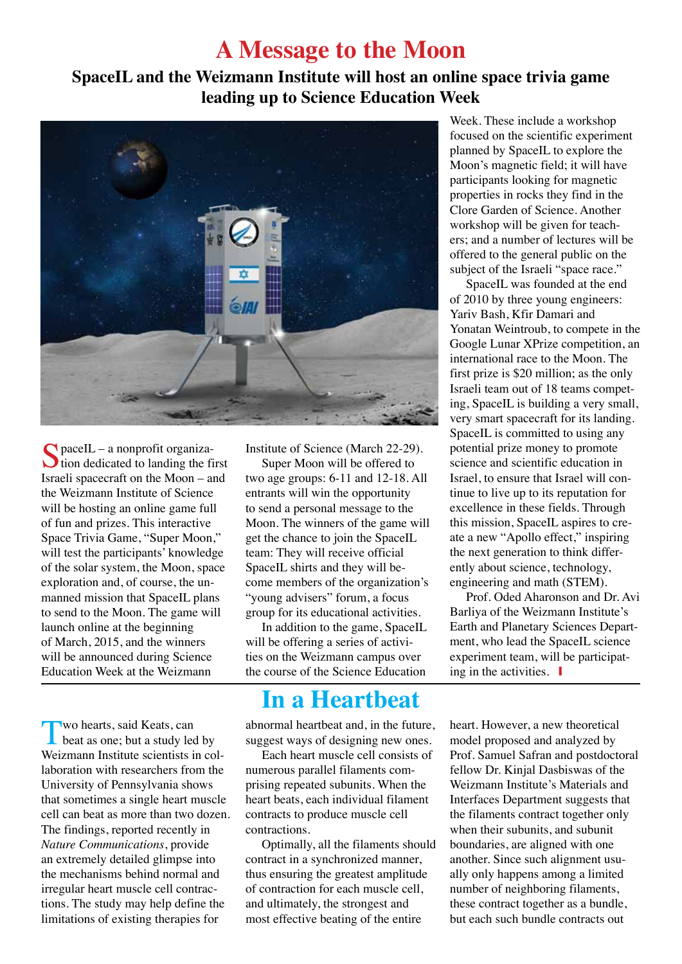### **A Message to the Moon**

#### **SpaceIL and the Weizmann Institute will host an online space trivia game leading up to Science Education Week**



 $\Omega$  paceIL – a nonprofit organiza- $\bigcup$  tion dedicated to landing the first Israeli spacecraft on the Moon – and the Weizmann Institute of Science will be hosting an online game full of fun and prizes. This interactive Space Trivia Game, "Super Moon," will test the participants' knowledge of the solar system, the Moon, space exploration and, of course, the unmanned mission that SpaceIL plans to send to the Moon. The game will launch online at the beginning of March, 2015, and the winners will be announced during Science Education Week at the Weizmann

Two hearts, said Keats, can<br>beat as one; but a study led by Weizmann Institute scientists in collaboration with researchers from the University of Pennsylvania shows that sometimes a single heart muscle cell can beat as more than two dozen. The findings, reported recently in *Nature Communications*, provide an extremely detailed glimpse into the mechanisms behind normal and irregular heart muscle cell contractions. The study may help define the limitations of existing therapies for

Institute of Science (March 22-29).

Super Moon will be offered to two age groups: 6-11 and 12-18. All entrants will win the opportunity to send a personal message to the Moon. The winners of the game will get the chance to join the SpaceIL team: They will receive official SpaceIL shirts and they will become members of the organization's "young advisers" forum, a focus group for its educational activities.

In addition to the game, SpaceIL will be offering a series of activities on the Weizmann campus over the course of the Science Education

## **In a Heartbeat**

abnormal heartbeat and, in the future, suggest ways of designing new ones.

Each heart muscle cell consists of numerous parallel filaments comprising repeated subunits. When the heart beats, each individual filament contracts to produce muscle cell contractions.

Optimally, all the filaments should contract in a synchronized manner, thus ensuring the greatest amplitude of contraction for each muscle cell, and ultimately, the strongest and most effective beating of the entire

Week. These include a workshop focused on the scientific experiment planned by SpaceIL to explore the Moon's magnetic field; it will have participants looking for magnetic properties in rocks they find in the Clore Garden of Science. Another workshop will be given for teachers; and a number of lectures will be offered to the general public on the subject of the Israeli "space race."

SpaceIL was founded at the end of 2010 by three young engineers: Yariv Bash, Kfir Damari and Yonatan Weintroub, to compete in the Google Lunar XPrize competition, an international race to the Moon. The first prize is \$20 million; as the only Israeli team out of 18 teams competing, SpaceIL is building a very small, very smart spacecraft for its landing. SpaceIL is committed to using any potential prize money to promote science and scientific education in Israel, to ensure that Israel will continue to live up to its reputation for excellence in these fields. Through this mission, SpaceIL aspires to create a new "Apollo effect," inspiring the next generation to think differently about science, technology, engineering and math (STEM).

Prof. Oded Aharonson and Dr. Avi Barliya of the Weizmann Institute's Earth and Planetary Sciences Department, who lead the SpaceIL science experiment team, will be participating in the activities.  $\blacksquare$ 

heart. However, a new theoretical model proposed and analyzed by Prof. Samuel Safran and postdoctoral fellow Dr. Kinjal Dasbiswas of the Weizmann Institute's Materials and Interfaces Department suggests that the filaments contract together only when their subunits, and subunit boundaries, are aligned with one another. Since such alignment usually only happens among a limited number of neighboring filaments, these contract together as a bundle, but each such bundle contracts out